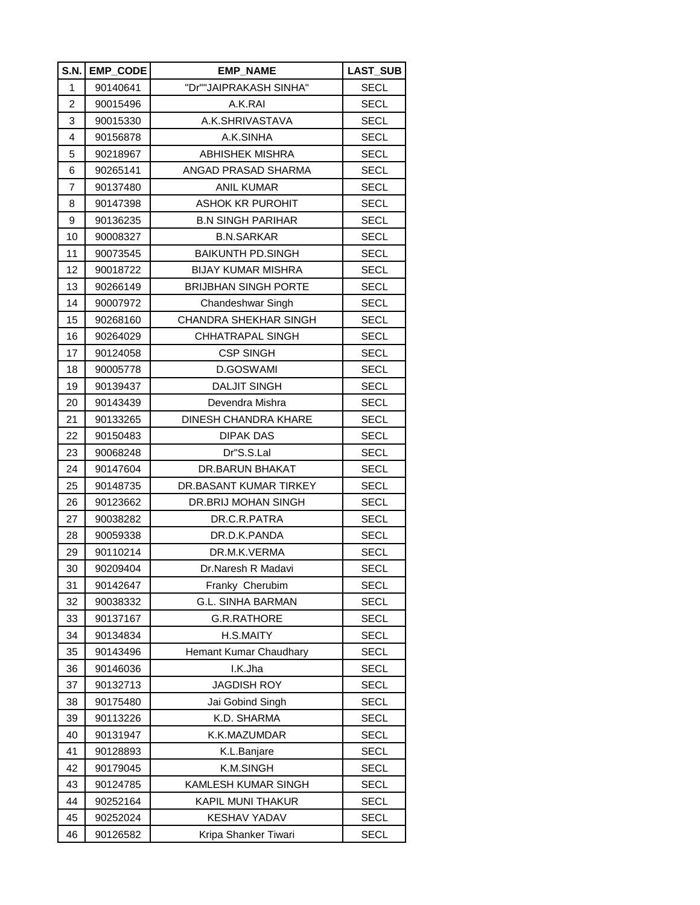| S.N.           | <b>EMP_CODE</b> | <b>EMP NAME</b>              | <b>LAST_SUB</b> |
|----------------|-----------------|------------------------------|-----------------|
| 1              | 90140641        | "Dr""JAIPRAKASH SINHA"       | <b>SECL</b>     |
| $\overline{c}$ | 90015496        | A.K.RAI                      | <b>SECL</b>     |
| 3              | 90015330        | A.K.SHRIVASTAVA              | <b>SECL</b>     |
| 4              | 90156878        | A.K.SINHA                    | SECL            |
| 5              | 90218967        | <b>ABHISHEK MISHRA</b>       | <b>SECL</b>     |
| 6              | 90265141        | ANGAD PRASAD SHARMA          | <b>SECL</b>     |
| 7              | 90137480        | <b>ANIL KUMAR</b>            | <b>SECL</b>     |
| 8              | 90147398        | <b>ASHOK KR PUROHIT</b>      | <b>SECL</b>     |
| 9              | 90136235        | <b>B.N SINGH PARIHAR</b>     | SECL            |
| 10             | 90008327        | <b>B.N.SARKAR</b>            | <b>SECL</b>     |
| 11             | 90073545        | <b>BAIKUNTH PD.SINGH</b>     | <b>SECL</b>     |
| 12             | 90018722        | <b>BIJAY KUMAR MISHRA</b>    | <b>SECL</b>     |
| 13             | 90266149        | <b>BRIJBHAN SINGH PORTE</b>  | <b>SECL</b>     |
| 14             | 90007972        | Chandeshwar Singh            | <b>SECL</b>     |
| 15             | 90268160        | <b>CHANDRA SHEKHAR SINGH</b> | <b>SECL</b>     |
| 16             | 90264029        | CHHATRAPAL SINGH             | <b>SECL</b>     |
| 17             | 90124058        | <b>CSP SINGH</b>             | <b>SECL</b>     |
| 18             | 90005778        | D.GOSWAMI                    | SECL            |
| 19             | 90139437        | DALJIT SINGH                 | <b>SECL</b>     |
| 20             | 90143439        | Devendra Mishra              | <b>SECL</b>     |
| 21             | 90133265        | DINESH CHANDRA KHARE         | <b>SECL</b>     |
| 22             | 90150483        | <b>DIPAK DAS</b>             | <b>SECL</b>     |
| 23             | 90068248        | Dr"S.S.Lal                   | <b>SECL</b>     |
| 24             | 90147604        | DR.BARUN BHAKAT              | <b>SECL</b>     |
| 25             | 90148735        | DR.BASANT KUMAR TIRKEY       | <b>SECL</b>     |
| 26             | 90123662        | DR.BRIJ MOHAN SINGH          | <b>SECL</b>     |
| 27             | 90038282        | DR.C.R.PATRA                 | SECL            |
| 28             | 90059338        | DR.D.K.PANDA                 | SECL            |
| 29             | 90110214        | DR.M.K.VERMA                 | <b>SECL</b>     |
| 30             | 90209404        | Dr.Naresh R Madavi           | <b>SECL</b>     |
| 31             | 90142647        | Franky Cherubim              | <b>SECL</b>     |
| 32             | 90038332        | <b>G.L. SINHA BARMAN</b>     | <b>SECL</b>     |
| 33             | 90137167        | <b>G.R.RATHORE</b>           | <b>SECL</b>     |
| 34             | 90134834        | H.S.MAITY                    | <b>SECL</b>     |
| 35             | 90143496        | Hemant Kumar Chaudhary       | <b>SECL</b>     |
| 36             | 90146036        | I.K.Jha                      | <b>SECL</b>     |
| 37             | 90132713        | <b>JAGDISH ROY</b>           | <b>SECL</b>     |
| 38             | 90175480        | Jai Gobind Singh             | <b>SECL</b>     |
| 39             | 90113226        | K.D. SHARMA                  | <b>SECL</b>     |
| 40             | 90131947        | K.K.MAZUMDAR                 | <b>SECL</b>     |
| 41             | 90128893        | K.L.Banjare                  | <b>SECL</b>     |
| 42             | 90179045        | K.M.SINGH                    | <b>SECL</b>     |
| 43             | 90124785        | KAMLESH KUMAR SINGH          | <b>SECL</b>     |
| 44             | 90252164        | KAPIL MUNI THAKUR            | <b>SECL</b>     |
| 45             | 90252024        | <b>KESHAV YADAV</b>          | <b>SECL</b>     |
| 46             | 90126582        | Kripa Shanker Tiwari         | <b>SECL</b>     |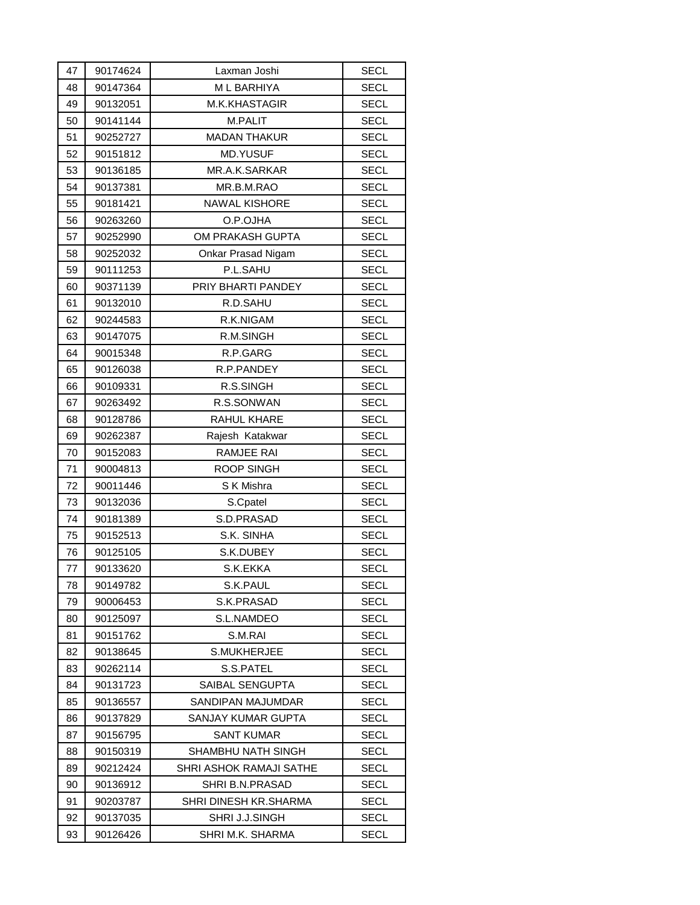| 47 | 90174624 | Laxman Joshi            | SECL        |
|----|----------|-------------------------|-------------|
| 48 | 90147364 | M L BARHIYA             | <b>SECL</b> |
| 49 | 90132051 | M.K.KHASTAGIR           | <b>SECL</b> |
| 50 | 90141144 | M.PALIT                 | <b>SECL</b> |
| 51 | 90252727 | <b>MADAN THAKUR</b>     | <b>SECL</b> |
| 52 | 90151812 | <b>MD.YUSUF</b>         | <b>SECL</b> |
| 53 | 90136185 | MR.A.K.SARKAR           | <b>SECL</b> |
| 54 | 90137381 | MR.B.M.RAO              | <b>SECL</b> |
| 55 | 90181421 | <b>NAWAL KISHORE</b>    | <b>SECL</b> |
| 56 | 90263260 | O.P.OJHA                | <b>SECL</b> |
| 57 | 90252990 | OM PRAKASH GUPTA        | <b>SECL</b> |
| 58 | 90252032 | Onkar Prasad Nigam      | <b>SECL</b> |
| 59 | 90111253 | P.L.SAHU                | <b>SECL</b> |
| 60 | 90371139 | PRIY BHARTI PANDEY      | <b>SECL</b> |
| 61 | 90132010 | R.D.SAHU                | <b>SECL</b> |
| 62 | 90244583 | R.K.NIGAM               | <b>SECL</b> |
| 63 | 90147075 | R.M.SINGH               | <b>SECL</b> |
| 64 | 90015348 | R.P.GARG                | <b>SECL</b> |
| 65 | 90126038 | R.P.PANDEY              | <b>SECL</b> |
| 66 | 90109331 | R.S.SINGH               | SECL        |
| 67 | 90263492 | R.S.SONWAN              | <b>SECL</b> |
| 68 | 90128786 | RAHUL KHARE             | <b>SECL</b> |
| 69 | 90262387 | Rajesh Katakwar         | <b>SECL</b> |
| 70 | 90152083 | RAMJEE RAI              | <b>SECL</b> |
| 71 | 90004813 | ROOP SINGH              | <b>SECL</b> |
| 72 | 90011446 | S K Mishra              | <b>SECL</b> |
| 73 | 90132036 | S.Cpatel                | <b>SECL</b> |
| 74 | 90181389 | S.D.PRASAD              | <b>SECL</b> |
| 75 | 90152513 | S.K. SINHA              | <b>SECL</b> |
| 76 | 90125105 | S.K.DUBEY               | <b>SECL</b> |
| 77 | 90133620 | S.K.EKKA                | <b>SECL</b> |
| 78 | 90149782 | S.K.PAUL                | SECL        |
| 79 | 90006453 | S.K.PRASAD              | SECL        |
| 80 | 90125097 | S.L.NAMDEO              | SECL        |
| 81 | 90151762 | S.M.RAI                 | SECL        |
| 82 | 90138645 | <b>S.MUKHERJEE</b>      | SECL        |
| 83 | 90262114 | S.S.PATEL               | SECL        |
| 84 | 90131723 | SAIBAL SENGUPTA         | <b>SECL</b> |
| 85 | 90136557 | SANDIPAN MAJUMDAR       | SECL        |
| 86 | 90137829 | SANJAY KUMAR GUPTA      | SECL        |
| 87 | 90156795 | SANT KUMAR              | SECL        |
| 88 | 90150319 | SHAMBHU NATH SINGH      | SECL        |
| 89 | 90212424 | SHRI ASHOK RAMAJI SATHE | SECL        |
| 90 | 90136912 | SHRI B.N.PRASAD         | SECL        |
| 91 | 90203787 | SHRI DINESH KR.SHARMA   | SECL        |
| 92 | 90137035 | SHRI J.J.SINGH          | SECL        |
| 93 | 90126426 | SHRI M.K. SHARMA        | SECL        |